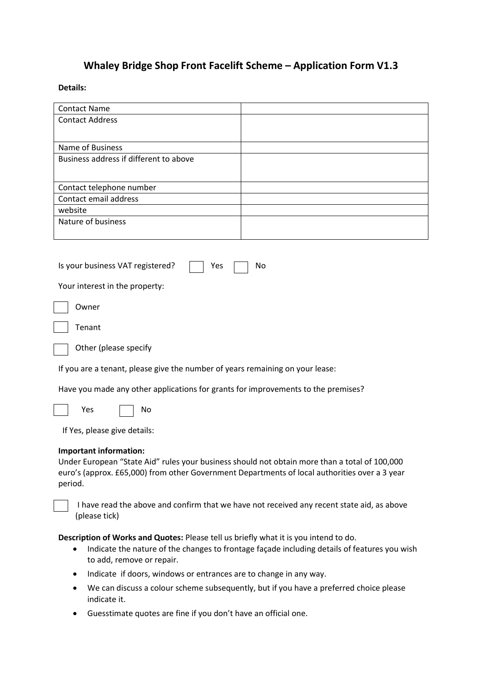# **Whaley Bridge Shop Front Facelift Scheme – Application Form V1.3**

## **Details:**

| <b>Contact Name</b>                                                                                                                                                                                                                        |                                                                                              |  |  |  |
|--------------------------------------------------------------------------------------------------------------------------------------------------------------------------------------------------------------------------------------------|----------------------------------------------------------------------------------------------|--|--|--|
| <b>Contact Address</b>                                                                                                                                                                                                                     |                                                                                              |  |  |  |
| Name of Business                                                                                                                                                                                                                           |                                                                                              |  |  |  |
| Business address if different to above                                                                                                                                                                                                     |                                                                                              |  |  |  |
| Contact telephone number                                                                                                                                                                                                                   |                                                                                              |  |  |  |
| Contact email address                                                                                                                                                                                                                      |                                                                                              |  |  |  |
| website                                                                                                                                                                                                                                    |                                                                                              |  |  |  |
| Nature of business                                                                                                                                                                                                                         |                                                                                              |  |  |  |
| Is your business VAT registered?<br>Yes<br>Your interest in the property:                                                                                                                                                                  | No                                                                                           |  |  |  |
| Owner                                                                                                                                                                                                                                      |                                                                                              |  |  |  |
| Tenant                                                                                                                                                                                                                                     |                                                                                              |  |  |  |
| Other (please specify                                                                                                                                                                                                                      |                                                                                              |  |  |  |
| If you are a tenant, please give the number of years remaining on your lease:                                                                                                                                                              |                                                                                              |  |  |  |
| Have you made any other applications for grants for improvements to the premises?                                                                                                                                                          |                                                                                              |  |  |  |
| Yes<br>No                                                                                                                                                                                                                                  |                                                                                              |  |  |  |
| If Yes, please give details:                                                                                                                                                                                                               |                                                                                              |  |  |  |
| <b>Important information:</b><br>Under European "State Aid" rules your business should not obtain more than a total of 100,000<br>euro's (approx. £65,000) from other Government Departments of local authorities over a 3 year<br>period. |                                                                                              |  |  |  |
| (please tick)                                                                                                                                                                                                                              | I have read the above and confirm that we have not received any recent state aid, as above   |  |  |  |
| Description of Works and Quotes: Please tell us briefly what it is you intend to do.<br>٠<br>to add, remove or repair.                                                                                                                     | Indicate the nature of the changes to frontage façade including details of features you wish |  |  |  |
| Indicate if doors, windows or entrances are to change in any way.<br>٠                                                                                                                                                                     |                                                                                              |  |  |  |
| $\bullet$<br>indicate it.                                                                                                                                                                                                                  | We can discuss a colour scheme subsequently, but if you have a preferred choice please       |  |  |  |
| Cuestimate quotes are fine if you don't have an official one                                                                                                                                                                               |                                                                                              |  |  |  |

Guesstimate quotes are fine if you don't have an official one.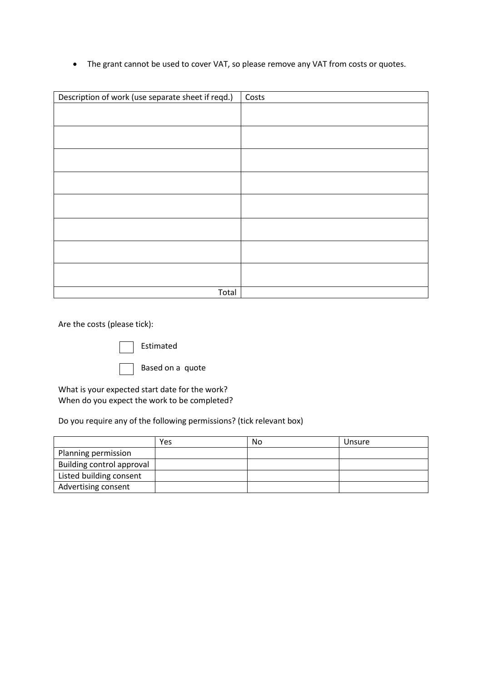The grant cannot be used to cover VAT, so please remove any VAT from costs or quotes.

| Description of work (use separate sheet if reqd.) | Costs |
|---------------------------------------------------|-------|
|                                                   |       |
|                                                   |       |
|                                                   |       |
|                                                   |       |
|                                                   |       |
|                                                   |       |
|                                                   |       |
|                                                   |       |
|                                                   |       |
|                                                   |       |
|                                                   |       |
|                                                   |       |
|                                                   |       |
|                                                   |       |
| Total                                             |       |

Are the costs (please tick):

 $\overline{\phantom{a}}$  Estimated

Based on a quote

What is your expected start date for the work? When do you expect the work to be completed?

Do you require any of the following permissions? (tick relevant box)

|                           | Yes | No | Unsure |
|---------------------------|-----|----|--------|
| Planning permission       |     |    |        |
| Building control approval |     |    |        |
| Listed building consent   |     |    |        |
| Advertising consent       |     |    |        |